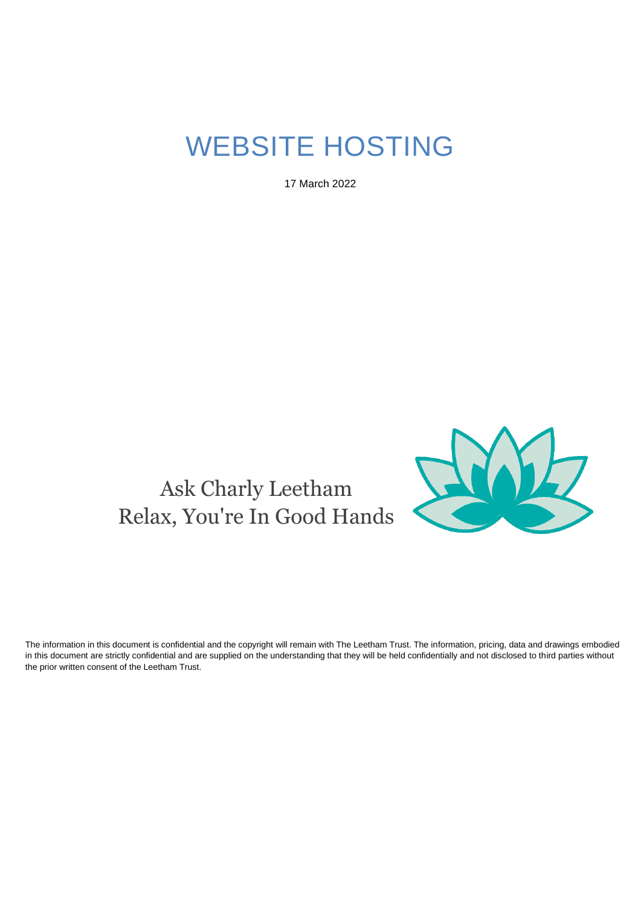# WEBSITE HOSTING

17 March 2022





The information in this document is confidential and the copyright will remain with The Leetham Trust. The information, pricing, data and drawings embodied in this document are strictly confidential and are supplied on the understanding that they will be held confidentially and not disclosed to third parties without the prior written consent of the Leetham Trust.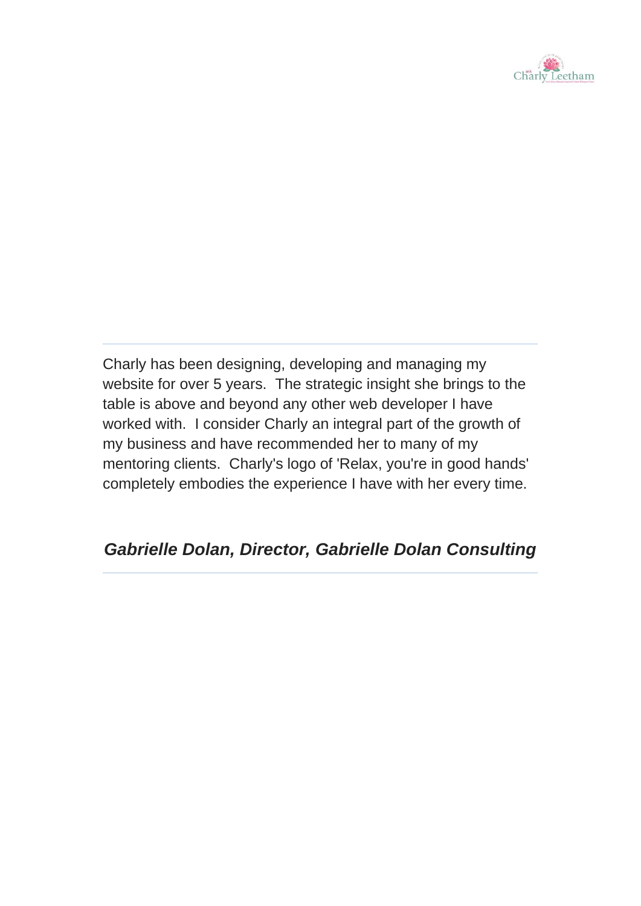

Charly has been designing, developing and managing my website for over 5 years. The strategic insight she brings to the table is above and beyond any other web developer I have worked with. I consider Charly an integral part of the growth of my business and have recommended her to many of my mentoring clients. Charly's logo of 'Relax, you're in good hands' completely embodies the experience I have with her every time.

## *Gabrielle Dolan, Director, Gabrielle Dolan Consulting*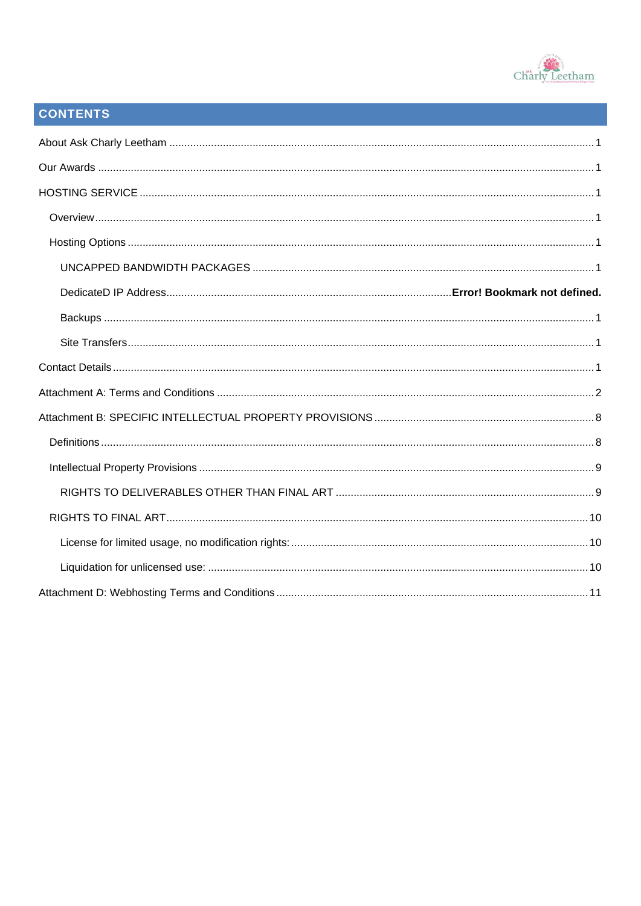

## **CONTENTS**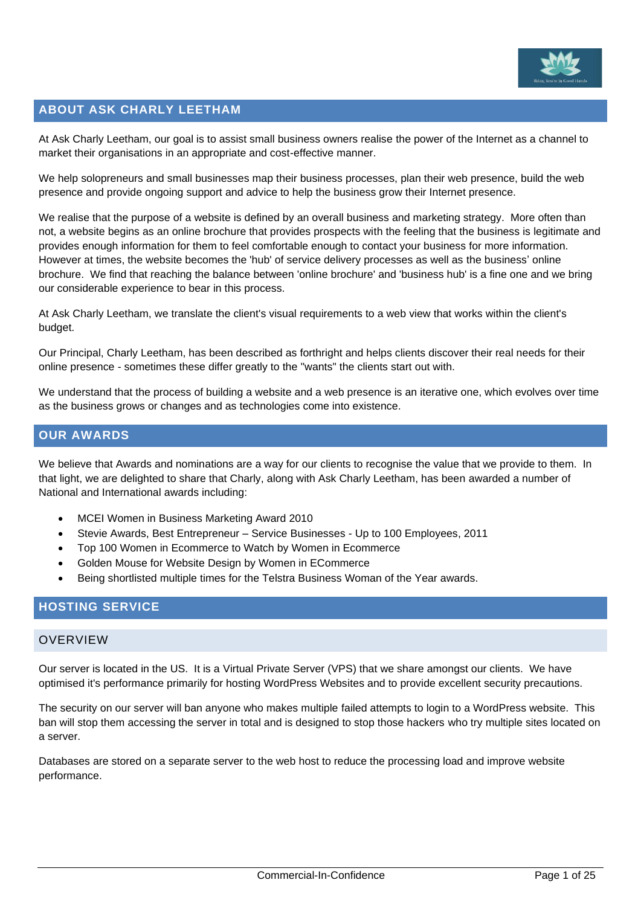

### <span id="page-3-0"></span>**ABOUT ASK CHARLY LEETHAM**

At Ask Charly Leetham, our goal is to assist small business owners realise the power of the Internet as a channel to market their organisations in an appropriate and cost-effective manner.

We help solopreneurs and small businesses map their business processes, plan their web presence, build the web presence and provide ongoing support and advice to help the business grow their Internet presence.

We realise that the purpose of a website is defined by an overall business and marketing strategy. More often than not, a website begins as an online brochure that provides prospects with the feeling that the business is legitimate and provides enough information for them to feel comfortable enough to contact your business for more information. However at times, the website becomes the 'hub' of service delivery processes as well as the business' online brochure. We find that reaching the balance between 'online brochure' and 'business hub' is a fine one and we bring our considerable experience to bear in this process.

At Ask Charly Leetham, we translate the client's visual requirements to a web view that works within the client's budget.

Our Principal, Charly Leetham, has been described as forthright and helps clients discover their real needs for their online presence - sometimes these differ greatly to the "wants" the clients start out with.

We understand that the process of building a website and a web presence is an iterative one, which evolves over time as the business grows or changes and as technologies come into existence.

### <span id="page-3-1"></span>**OUR AWARDS**

We believe that Awards and nominations are a way for our clients to recognise the value that we provide to them. In that light, we are delighted to share that Charly, along with Ask Charly Leetham, has been awarded a number of National and International awards including:

- MCEI Women in Business Marketing Award 2010
- Stevie Awards, Best Entrepreneur Service Businesses Up to 100 Employees, 2011
- Top 100 Women in Ecommerce to Watch by Women in Ecommerce
- Golden Mouse for Website Design by Women in ECommerce
- Being shortlisted multiple times for the Telstra Business Woman of the Year awards.

### <span id="page-3-2"></span>**HOSTING SERVICE**

### <span id="page-3-3"></span>**OVERVIEW**

Our server is located in the US. It is a Virtual Private Server (VPS) that we share amongst our clients. We have optimised it's performance primarily for hosting WordPress Websites and to provide excellent security precautions.

The security on our server will ban anyone who makes multiple failed attempts to login to a WordPress website. This ban will stop them accessing the server in total and is designed to stop those hackers who try multiple sites located on a server.

Databases are stored on a separate server to the web host to reduce the processing load and improve website performance.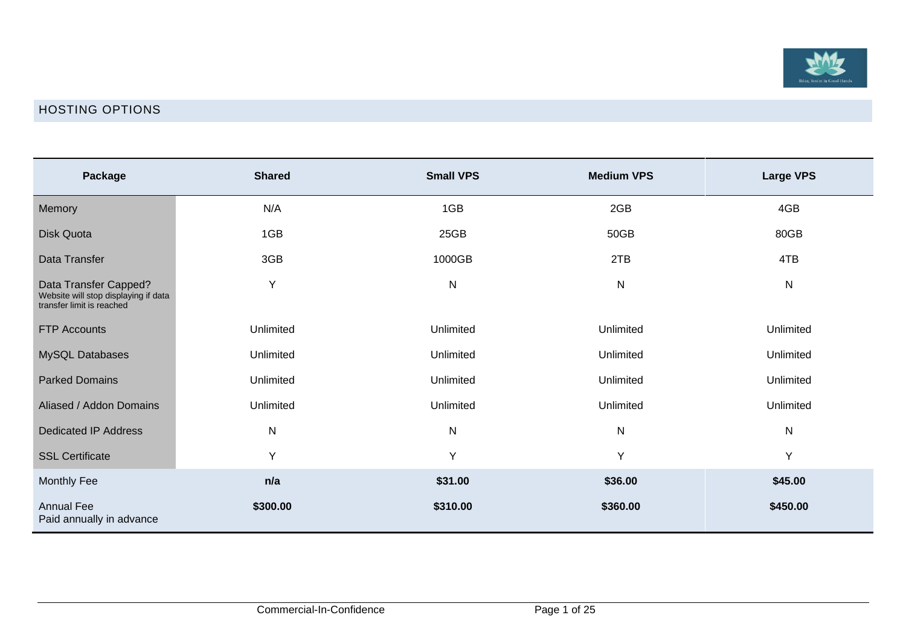

### HOSTING OPTIONS

<span id="page-4-0"></span>

| Package                                                                                    | <b>Shared</b> | <b>Small VPS</b> | <b>Medium VPS</b> | <b>Large VPS</b> |
|--------------------------------------------------------------------------------------------|---------------|------------------|-------------------|------------------|
| Memory                                                                                     | N/A           | 1GB              | 2GB               | 4GB              |
| Disk Quota                                                                                 | 1GB           | 25GB             | 50GB              | 80GB             |
| Data Transfer                                                                              | 3GB           | 1000GB           | 2TB               | 4TB              |
| Data Transfer Capped?<br>Website will stop displaying if data<br>transfer limit is reached | Y             | $\mathsf{N}$     | ${\sf N}$         | N                |
| <b>FTP Accounts</b>                                                                        | Unlimited     | Unlimited        | Unlimited         | Unlimited        |
| MySQL Databases                                                                            | Unlimited     | Unlimited        | Unlimited         | Unlimited        |
| <b>Parked Domains</b>                                                                      | Unlimited     | Unlimited        | Unlimited         | Unlimited        |
| Aliased / Addon Domains                                                                    | Unlimited     | Unlimited        | Unlimited         | Unlimited        |
| <b>Dedicated IP Address</b>                                                                | $\mathsf{N}$  | ${\sf N}$        | ${\sf N}$         | N                |
| <b>SSL Certificate</b>                                                                     | Y             | Y                | Y                 | Y                |
| <b>Monthly Fee</b>                                                                         | n/a           | \$31.00          | \$36.00           | \$45.00          |
| <b>Annual Fee</b><br>Paid annually in advance                                              | \$300.00      | \$310.00         | \$360.00          | \$450.00         |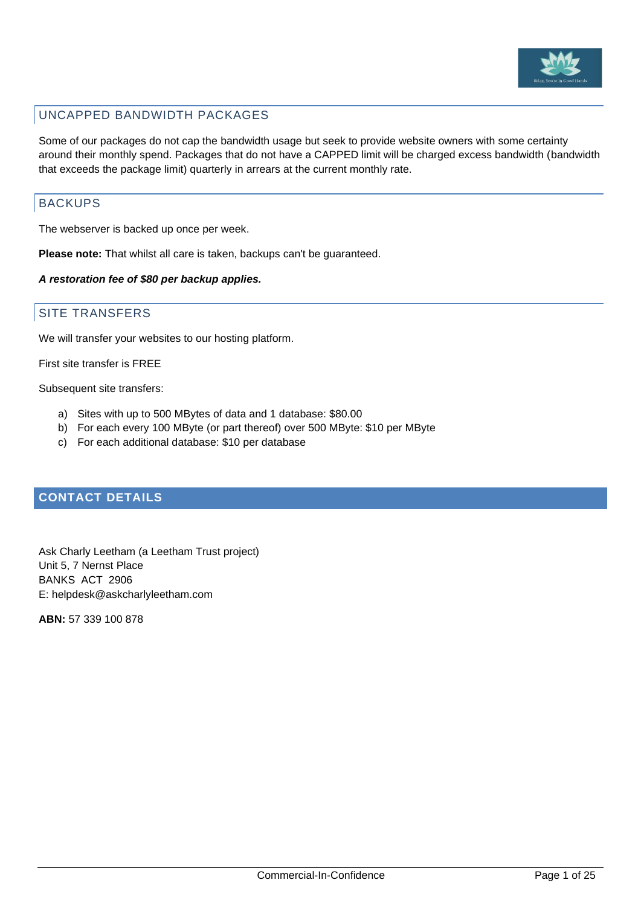

### <span id="page-5-0"></span>UNCAPPED BANDWIDTH PACKAGES

Some of our packages do not cap the bandwidth usage but seek to provide website owners with some certainty around their monthly spend. Packages that do not have a CAPPED limit will be charged excess bandwidth (bandwidth that exceeds the package limit) quarterly in arrears at the current monthly rate.

### <span id="page-5-1"></span>BACKUPS

The webserver is backed up once per week.

**Please note:** That whilst all care is taken, backups can't be guaranteed.

### *A restoration fee of \$80 per backup applies.*

### <span id="page-5-2"></span>SITE TRANSFERS

We will transfer your websites to our hosting platform.

First site transfer is FREE

Subsequent site transfers:

- a) Sites with up to 500 MBytes of data and 1 database: \$80.00
- b) For each every 100 MByte (or part thereof) over 500 MByte: \$10 per MByte
- c) For each additional database: \$10 per database

### <span id="page-5-3"></span>**CONTACT DETAILS**

Ask Charly Leetham (a Leetham Trust project) Unit 5, 7 Nernst Place BANKS ACT 2906 E: helpdesk@askcharlyleetham.com

**ABN:** 57 339 100 878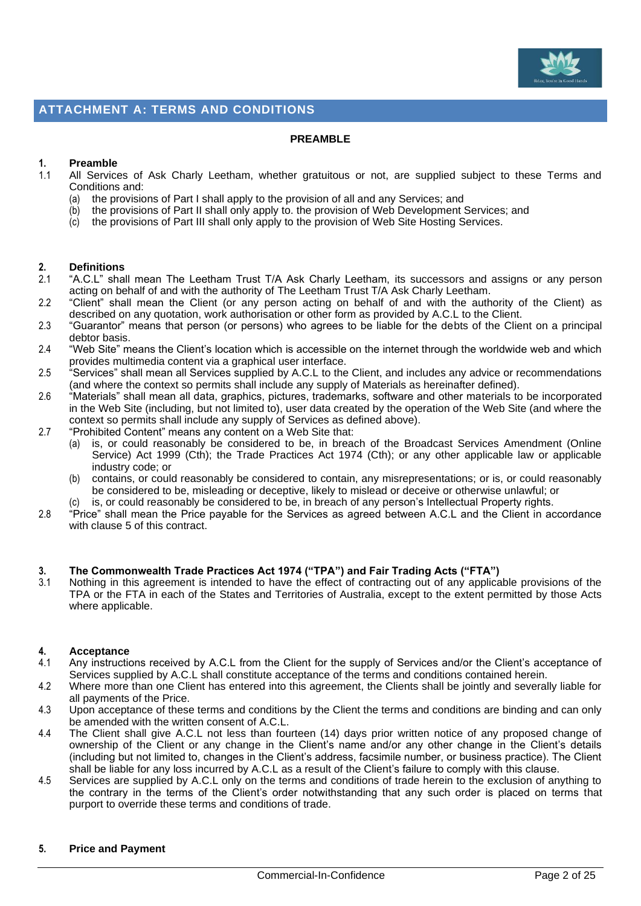

### <span id="page-6-0"></span>**ATTACHMENT A: TERMS AND CONDITIONS**

#### **PREAMBLE**

### **1. Preamble**

- 1.1 All Services of Ask Charly Leetham, whether gratuitous or not, are supplied subject to these Terms and Conditions and:
	- (a) the provisions of Part I shall apply to the provision of all and any Services; and
	- (b) the provisions of Part II shall only apply to. the provision of Web Development Services; and
	- (c) the provisions of Part III shall only apply to the provision of Web Site Hosting Services.

## **2. Definitions**

- 2.1 "A.C.L" shall mean The Leetham Trust T/A Ask Charly Leetham, its successors and assigns or any person acting on behalf of and with the authority of The Leetham Trust T/A Ask Charly Leetham.
- 2.2 "Client" shall mean the Client (or any person acting on behalf of and with the authority of the Client) as described on any quotation, work authorisation or other form as provided by A.C.L to the Client.
- 2.3 "Guarantor" means that person (or persons) who agrees to be liable for the debts of the Client on a principal debtor basis.
- 2.4 "Web Site" means the Client's location which is accessible on the internet through the worldwide web and which provides multimedia content via a graphical user interface.
- 2.5 "Services" shall mean all Services supplied by A.C.L to the Client, and includes any advice or recommendations (and where the context so permits shall include any supply of Materials as hereinafter defined).
- 2.6 "Materials" shall mean all data, graphics, pictures, trademarks, software and other materials to be incorporated in the Web Site (including, but not limited to), user data created by the operation of the Web Site (and where the context so permits shall include any supply of Services as defined above).
- 2.7 "Prohibited Content" means any content on a Web Site that:
	- is, or could reasonably be considered to be, in breach of the Broadcast Services Amendment (Online Service) Act 1999 (Cth); the Trade Practices Act 1974 (Cth); or any other applicable law or applicable industry code; or
	- (b) contains, or could reasonably be considered to contain, any misrepresentations; or is, or could reasonably be considered to be, misleading or deceptive, likely to mislead or deceive or otherwise unlawful; or
	- (c) is, or could reasonably be considered to be, in breach of any person's Intellectual Property rights.
- 2.8 <sup>"P</sup>rice" shall mean the Price payable for the Services as agreed between A.C.L and the Client in accordance with clause [5](#page-6-1) of this contract.

#### **3. The Commonwealth Trade Practices Act 1974 ("TPA") and Fair Trading Acts ("FTA")**

3.1 Nothing in this agreement is intended to have the effect of contracting out of any applicable provisions of the TPA or the FTA in each of the States and Territories of Australia, except to the extent permitted by those Acts where applicable.

#### **4. Acceptance**

- 4.1 Any instructions received by A.C.L from the Client for the supply of Services and/or the Client's acceptance of Services supplied by A.C.L shall constitute acceptance of the terms and conditions contained herein.
- 4.2 Where more than one Client has entered into this agreement, the Clients shall be jointly and severally liable for all payments of the Price.
- 4.3 Upon acceptance of these terms and conditions by the Client the terms and conditions are binding and can only be amended with the written consent of A.C.L.
- 4.4 The Client shall give A.C.L not less than fourteen (14) days prior written notice of any proposed change of ownership of the Client or any change in the Client's name and/or any other change in the Client's details (including but not limited to, changes in the Client's address, facsimile number, or business practice). The Client shall be liable for any loss incurred by A.C.L as a result of the Client's failure to comply with this clause.
- <span id="page-6-1"></span>4.5 Services are supplied by A.C.L only on the terms and conditions of trade herein to the exclusion of anything to the contrary in the terms of the Client's order notwithstanding that any such order is placed on terms that purport to override these terms and conditions of trade.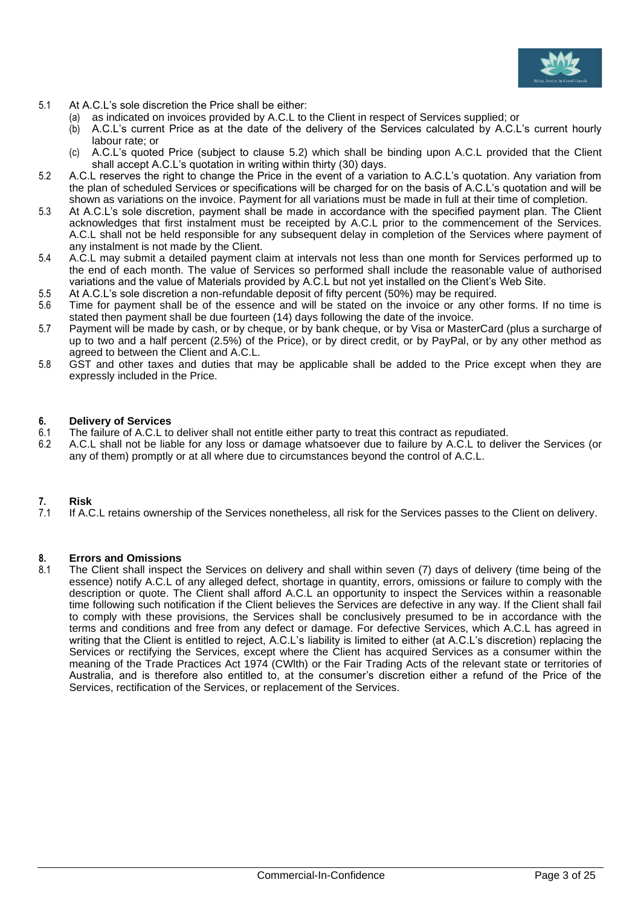

- 5.1 At A.C.L's sole discretion the Price shall be either:
	- (a) as indicated on invoices provided by A.C.L to the Client in respect of Services supplied; or
	- (b) A.C.L's current Price as at the date of the delivery of the Services calculated by A.C.L's current hourly labour rate; or
	- (c) A.C.L's quoted Price (subject to clause [5.2\)](#page-7-0) which shall be binding upon A.C.L provided that the Client shall accept A.C.L's quotation in writing within thirty (30) days.
- <span id="page-7-0"></span>5.2 A.C.L reserves the right to change the Price in the event of a variation to A.C.L's quotation. Any variation from the plan of scheduled Services or specifications will be charged for on the basis of A.C.L's quotation and will be shown as variations on the invoice. Payment for all variations must be made in full at their time of completion.
- 5.3 At A.C.L's sole discretion, payment shall be made in accordance with the specified payment plan. The Client acknowledges that first instalment must be receipted by A.C.L prior to the commencement of the Services. A.C.L shall not be held responsible for any subsequent delay in completion of the Services where payment of any instalment is not made by the Client.
- 5.4 A.C.L may submit a detailed payment claim at intervals not less than one month for Services performed up to the end of each month. The value of Services so performed shall include the reasonable value of authorised variations and the value of Materials provided by A.C.L but not yet installed on the Client's Web Site.
- 5.5 At A.C.L's sole discretion a non-refundable deposit of fifty percent (50%) may be required.
- 5.6 Time for payment shall be of the essence and will be stated on the invoice or any other forms. If no time is stated then payment shall be due fourteen (14) days following the date of the invoice.
- 5.7 Payment will be made by cash, or by cheque, or by bank cheque, or by Visa or MasterCard (plus a surcharge of up to two and a half percent (2.5%) of the Price), or by direct credit, or by PayPal, or by any other method as agreed to between the Client and A.C.L.
- 5.8 GST and other taxes and duties that may be applicable shall be added to the Price except when they are expressly included in the Price.

#### **6. Delivery of Services**

- 6.1 The failure of A.C.L to deliver shall not entitle either party to treat this contract as repudiated.<br>6.2 A.C.L. shall not be liable for any loss or damage whatsoever due to failure by A.C.L. to delive
- 6.2 A.C.L shall not be liable for any loss or damage whatsoever due to failure by A.C.L to deliver the Services (or any of them) promptly or at all where due to circumstances beyond the control of A.C.L.

### **7. Risk**

7.1 If A.C.L retains ownership of the Services nonetheless, all risk for the Services passes to the Client on delivery.

#### **8. Errors and Omissions**

8.1 The Client shall inspect the Services on delivery and shall within seven (7) days of delivery (time being of the essence) notify A.C.L of any alleged defect, shortage in quantity, errors, omissions or failure to comply with the description or quote. The Client shall afford A.C.L an opportunity to inspect the Services within a reasonable time following such notification if the Client believes the Services are defective in any way. If the Client shall fail to comply with these provisions, the Services shall be conclusively presumed to be in accordance with the terms and conditions and free from any defect or damage. For defective Services, which A.C.L has agreed in writing that the Client is entitled to reject, A.C.L's liability is limited to either (at A.C.L's discretion) replacing the Services or rectifying the Services, except where the Client has acquired Services as a consumer within the meaning of the Trade Practices Act 1974 (CWlth) or the Fair Trading Acts of the relevant state or territories of Australia, and is therefore also entitled to, at the consumer's discretion either a refund of the Price of the Services, rectification of the Services, or replacement of the Services.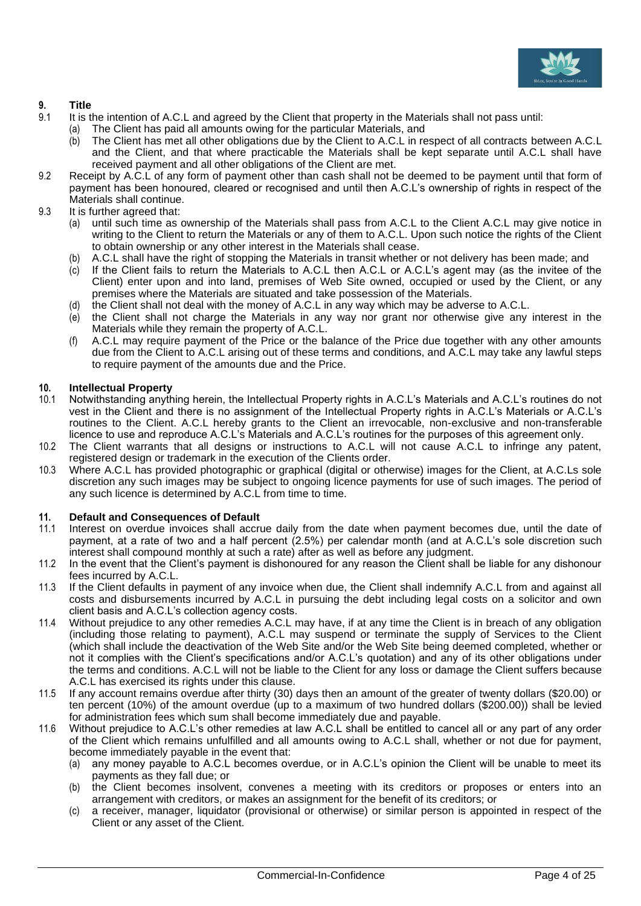

### **9. Title**

- 9.1 It is the intention of A.C.L and agreed by the Client that property in the Materials shall not pass until:
	- (a) The Client has paid all amounts owing for the particular Materials, and
		- (b) The Client has met all other obligations due by the Client to A.C.L in respect of all contracts between A.C.L and the Client, and that where practicable the Materials shall be kept separate until A.C.L shall have received payment and all other obligations of the Client are met.
- 9.2 Receipt by A.C.L of any form of payment other than cash shall not be deemed to be payment until that form of payment has been honoured, cleared or recognised and until then A.C.L's ownership of rights in respect of the Materials shall continue.
- 9.3 It is further agreed that:
	- until such time as ownership of the Materials shall pass from A.C.L to the Client A.C.L may give notice in writing to the Client to return the Materials or any of them to A.C.L. Upon such notice the rights of the Client to obtain ownership or any other interest in the Materials shall cease.
	- (b) A.C.L shall have the right of stopping the Materials in transit whether or not delivery has been made; and
	- (c) If the Client fails to return the Materials to A.C.L then A.C.L or A.C.L's agent may (as the invitee of the Client) enter upon and into land, premises of Web Site owned, occupied or used by the Client, or any premises where the Materials are situated and take possession of the Materials.
	- (d) the Client shall not deal with the money of A.C.L in any way which may be adverse to A.C.L.
	- (e) the Client shall not charge the Materials in any way nor grant nor otherwise give any interest in the Materials while they remain the property of A.C.L.
	- (f) A.C.L may require payment of the Price or the balance of the Price due together with any other amounts due from the Client to A.C.L arising out of these terms and conditions, and A.C.L may take any lawful steps to require payment of the amounts due and the Price.

### **10. Intellectual Property**

- 10.1 Notwithstanding anything herein, the Intellectual Property rights in A.C.L's Materials and A.C.L's routines do not vest in the Client and there is no assignment of the Intellectual Property rights in A.C.L's Materials or A.C.L's routines to the Client. A.C.L hereby grants to the Client an irrevocable, non-exclusive and non-transferable licence to use and reproduce A.C.L's Materials and A.C.L's routines for the purposes of this agreement only.
- 10.2 The Client warrants that all designs or instructions to A.C.L will not cause A.C.L to infringe any patent, registered design or trademark in the execution of the Clients order.
- 10.3 Where A.C.L has provided photographic or graphical (digital or otherwise) images for the Client, at A.C.Ls sole discretion any such images may be subject to ongoing licence payments for use of such images. The period of any such licence is determined by A.C.L from time to time.

#### **11. Default and Consequences of Default**

- 11.1 Interest on overdue invoices shall accrue daily from the date when payment becomes due, until the date of payment, at a rate of two and a half percent (2.5%) per calendar month (and at A.C.L's sole discretion such interest shall compound monthly at such a rate) after as well as before any judgment.
- 11.2 In the event that the Client's payment is dishonoured for any reason the Client shall be liable for any dishonour fees incurred by A.C.L.
- 11.3 If the Client defaults in payment of any invoice when due, the Client shall indemnify A.C.L from and against all costs and disbursements incurred by A.C.L in pursuing the debt including legal costs on a solicitor and own client basis and A.C.L's collection agency costs.
- 11.4 Without prejudice to any other remedies A.C.L may have, if at any time the Client is in breach of any obligation (including those relating to payment), A.C.L may suspend or terminate the supply of Services to the Client (which shall include the deactivation of the Web Site and/or the Web Site being deemed completed, whether or not it complies with the Client's specifications and/or A.C.L's quotation) and any of its other obligations under the terms and conditions. A.C.L will not be liable to the Client for any loss or damage the Client suffers because A.C.L has exercised its rights under this clause.
- 11.5 If any account remains overdue after thirty (30) days then an amount of the greater of twenty dollars (\$20.00) or ten percent (10%) of the amount overdue (up to a maximum of two hundred dollars (\$200.00)) shall be levied for administration fees which sum shall become immediately due and payable.
- 11.6 Without prejudice to A.C.L's other remedies at law A.C.L shall be entitled to cancel all or any part of any order of the Client which remains unfulfilled and all amounts owing to A.C.L shall, whether or not due for payment, become immediately payable in the event that:
	- (a) any money payable to A.C.L becomes overdue, or in A.C.L's opinion the Client will be unable to meet its payments as they fall due; or
	- (b) the Client becomes insolvent, convenes a meeting with its creditors or proposes or enters into an arrangement with creditors, or makes an assignment for the benefit of its creditors; or
	- (c) a receiver, manager, liquidator (provisional or otherwise) or similar person is appointed in respect of the Client or any asset of the Client.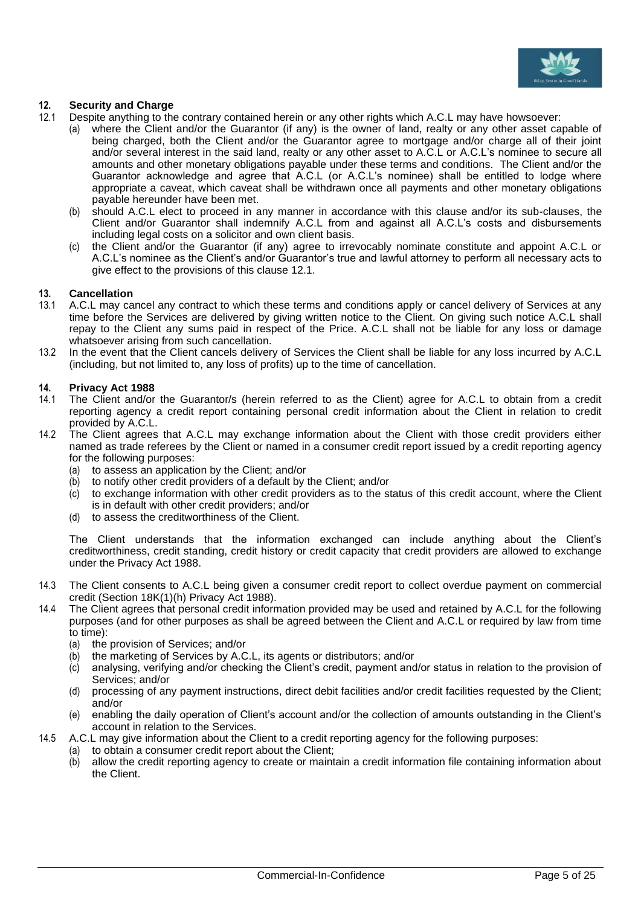

### **12. Security and Charge**

- <span id="page-9-0"></span>12.1 Despite anything to the contrary contained herein or any other rights which A.C.L may have howsoever:
	- where the Client and/or the Guarantor (if any) is the owner of land, realty or any other asset capable of being charged, both the Client and/or the Guarantor agree to mortgage and/or charge all of their joint and/or several interest in the said land, realty or any other asset to A.C.L or A.C.L's nominee to secure all amounts and other monetary obligations payable under these terms and conditions. The Client and/or the Guarantor acknowledge and agree that A.C.L (or A.C.L's nominee) shall be entitled to lodge where appropriate a caveat, which caveat shall be withdrawn once all payments and other monetary obligations payable hereunder have been met.
	- (b) should A.C.L elect to proceed in any manner in accordance with this clause and/or its sub-clauses, the Client and/or Guarantor shall indemnify A.C.L from and against all A.C.L's costs and disbursements including legal costs on a solicitor and own client basis.
	- (c) the Client and/or the Guarantor (if any) agree to irrevocably nominate constitute and appoint A.C.L or A.C.L's nominee as the Client's and/or Guarantor's true and lawful attorney to perform all necessary acts to give effect to the provisions of this clause [12.1.](#page-9-0)

### **13. Cancellation**

- 13.1 A.C.L may cancel any contract to which these terms and conditions apply or cancel delivery of Services at any time before the Services are delivered by giving written notice to the Client. On giving such notice A.C.L shall repay to the Client any sums paid in respect of the Price. A.C.L shall not be liable for any loss or damage whatsoever arising from such cancellation.
- 13.2 In the event that the Client cancels delivery of Services the Client shall be liable for any loss incurred by A.C.L (including, but not limited to, any loss of profits) up to the time of cancellation.

### **14. Privacy Act 1988**

- 14.1 The Client and/or the Guarantor/s (herein referred to as the Client) agree for A.C.L to obtain from a credit reporting agency a credit report containing personal credit information about the Client in relation to credit provided by A.C.L.
- 14.2 The Client agrees that A.C.L may exchange information about the Client with those credit providers either named as trade referees by the Client or named in a consumer credit report issued by a credit reporting agency for the following purposes:
	- (a) to assess an application by the Client; and/or
	- (b) to notify other credit providers of a default by the Client; and/or
	- (c) to exchange information with other credit providers as to the status of this credit account, where the Client is in default with other credit providers; and/or
	- (d) to assess the creditworthiness of the Client.

The Client understands that the information exchanged can include anything about the Client's creditworthiness, credit standing, credit history or credit capacity that credit providers are allowed to exchange under the Privacy Act 1988.

- 14.3 The Client consents to A.C.L being given a consumer credit report to collect overdue payment on commercial credit (Section 18K(1)(h) Privacy Act 1988).
- 14.4 The Client agrees that personal credit information provided may be used and retained by A.C.L for the following purposes (and for other purposes as shall be agreed between the Client and A.C.L or required by law from time to time):
	- (a) the provision of Services; and/or
	- (b) the marketing of Services by A.C.L, its agents or distributors; and/or
	- $\langle c \rangle$  analysing, verifying and/or checking the Client's credit, payment and/or status in relation to the provision of Services; and/or
	- (d) processing of any payment instructions, direct debit facilities and/or credit facilities requested by the Client; and/or
	- (e) enabling the daily operation of Client's account and/or the collection of amounts outstanding in the Client's account in relation to the Services.
- 14.5 A.C.L may give information about the Client to a credit reporting agency for the following purposes:
	- (a) to obtain a consumer credit report about the Client;
	- (b) allow the credit reporting agency to create or maintain a credit information file containing information about the Client.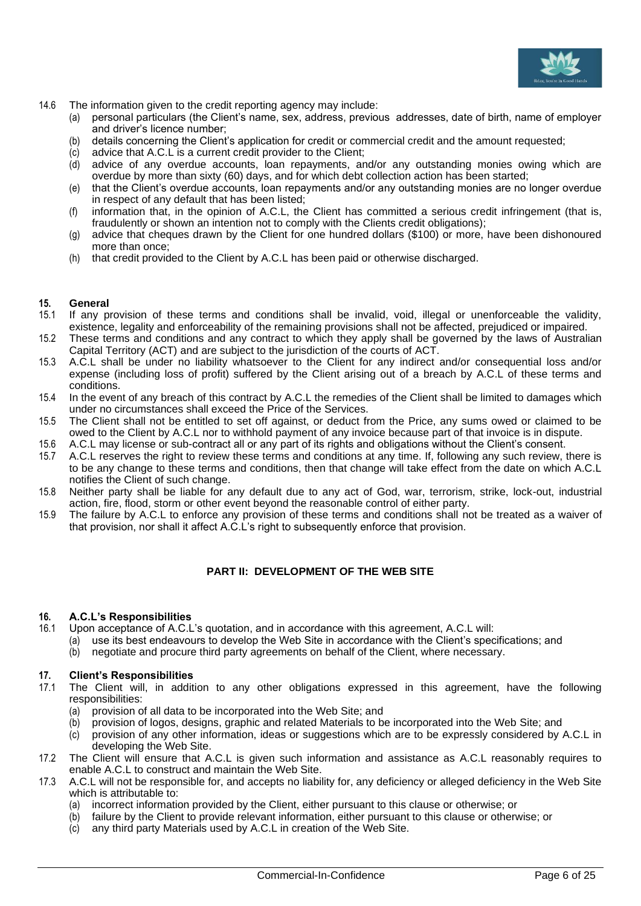

- 14.6 The information given to the credit reporting agency may include:
	- (a) personal particulars (the Client's name, sex, address, previous addresses, date of birth, name of employer and driver's licence number;
	- (b) details concerning the Client's application for credit or commercial credit and the amount requested;
	- (c) advice that A.C.L is a current credit provider to the Client;
	- (d) advice of any overdue accounts, loan repayments, and/or any outstanding monies owing which are overdue by more than sixty (60) days, and for which debt collection action has been started;
	- (e) that the Client's overdue accounts, loan repayments and/or any outstanding monies are no longer overdue in respect of any default that has been listed;
	- (f) information that, in the opinion of A.C.L, the Client has committed a serious credit infringement (that is, fraudulently or shown an intention not to comply with the Clients credit obligations);
	- (g) advice that cheques drawn by the Client for one hundred dollars (\$100) or more, have been dishonoured more than once;
	- (h) that credit provided to the Client by A.C.L has been paid or otherwise discharged.

## **15. General**

- If any provision of these terms and conditions shall be invalid, void, illegal or unenforceable the validity, existence, legality and enforceability of the remaining provisions shall not be affected, prejudiced or impaired.
- 15.2 These terms and conditions and any contract to which they apply shall be governed by the laws of Australian Capital Territory (ACT) and are subject to the jurisdiction of the courts of ACT.
- 15.3 A.C.L shall be under no liability whatsoever to the Client for any indirect and/or consequential loss and/or expense (including loss of profit) suffered by the Client arising out of a breach by A.C.L of these terms and conditions.
- 15.4 In the event of any breach of this contract by A.C.L the remedies of the Client shall be limited to damages which under no circumstances shall exceed the Price of the Services.
- 15.5 The Client shall not be entitled to set off against, or deduct from the Price, any sums owed or claimed to be owed to the Client by A.C.L nor to withhold payment of any invoice because part of that invoice is in dispute.
- 15.6 A.C.L may license or sub-contract all or any part of its rights and obligations without the Client's consent.
- 15.7 A.C.L reserves the right to review these terms and conditions at any time. If, following any such review, there is to be any change to these terms and conditions, then that change will take effect from the date on which A.C.L notifies the Client of such change.
- 15.8 Neither party shall be liable for any default due to any act of God, war, terrorism, strike, lock-out, industrial action, fire, flood, storm or other event beyond the reasonable control of either party.
- 15.9 The failure by A.C.L to enforce any provision of these terms and conditions shall not be treated as a waiver of that provision, nor shall it affect A.C.L's right to subsequently enforce that provision.

### **PART II: DEVELOPMENT OF THE WEB SITE**

#### **16. A.C.L's Responsibilities**

- 16.1 Upon acceptance of A.C.L's quotation, and in accordance with this agreement, A.C.L will:
	- (a) use its best endeavours to develop the Web Site in accordance with the Client's specifications; and
	- (b) negotiate and procure third party agreements on behalf of the Client, where necessary.

#### **17. Client's Responsibilities**

- 17.1 The Client will, in addition to any other obligations expressed in this agreement, have the following responsibilities:
	- (a) provision of all data to be incorporated into the Web Site; and (b) provision of logos, designs, graphic and related Materials to be
	- provision of logos, designs, graphic and related Materials to be incorporated into the Web Site; and
	- (c) provision of any other information, ideas or suggestions which are to be expressly considered by A.C.L in developing the Web Site.
- 17.2 The Client will ensure that A.C.L is given such information and assistance as A.C.L reasonably requires to enable A.C.L to construct and maintain the Web Site.
- 17.3 A.C.L will not be responsible for, and accepts no liability for, any deficiency or alleged deficiency in the Web Site which is attributable to:
	- (a) incorrect information provided by the Client, either pursuant to this clause or otherwise; or
	- (b) failure by the Client to provide relevant information, either pursuant to this clause or otherwise; or
	- (c) any third party Materials used by A.C.L in creation of the Web Site.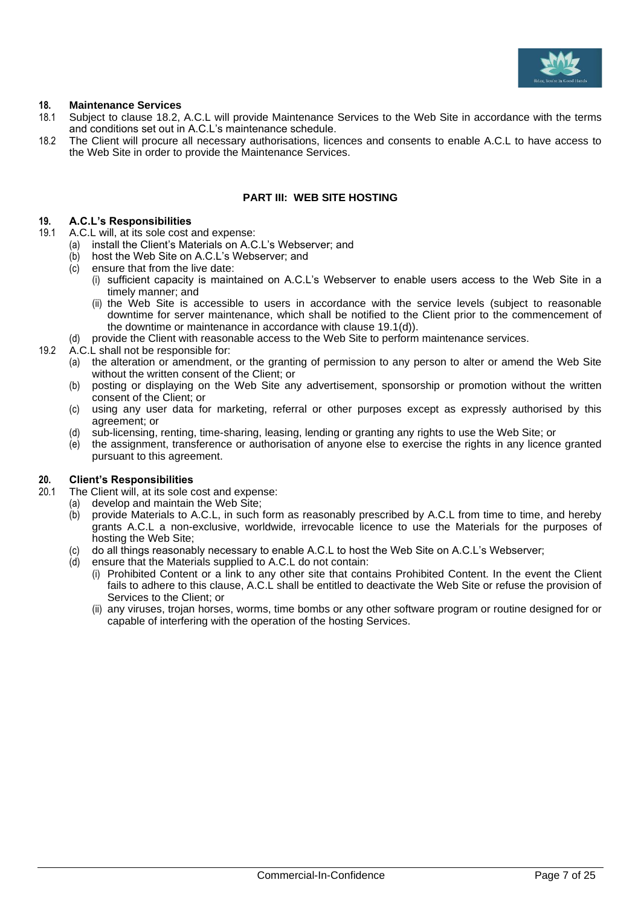

### **18. Maintenance Services**

- 18.1 Subject to clause [18.2,](#page-11-0) A.C.L will provide Maintenance Services to the Web Site in accordance with the terms and conditions set out in A.C.L's maintenance schedule.
- <span id="page-11-0"></span>18.2 The Client will procure all necessary authorisations, licences and consents to enable A.C.L to have access to the Web Site in order to provide the Maintenance Services.

### **PART III: WEB SITE HOSTING**

## **19. A.C.L's Responsibilities**

- A.C.L will, at its sole cost and expense:
	- (a) install the Client's Materials on A.C.L's Webserver; and
	- (b) host the Web Site on A.C.L's Webserver; and
	- (c) ensure that from the live date:
		- (i) sufficient capacity is maintained on A.C.L's Webserver to enable users access to the Web Site in a timely manner; and
		- (ii) the Web Site is accessible to users in accordance with the service levels (subject to reasonable downtime for server maintenance, which shall be notified to the Client prior to the commencement of the downtime or maintenance in accordance with clause 19.[1\(d\)\)](#page-11-1).
	- (d) provide the Client with reasonable access to the Web Site to perform maintenance services.
- <span id="page-11-1"></span>19.2 A.C.L shall not be responsible for:
	- (a) the alteration or amendment, or the granting of permission to any person to alter or amend the Web Site without the written consent of the Client; or
	- (b) posting or displaying on the Web Site any advertisement, sponsorship or promotion without the written consent of the Client; or
	- (c) using any user data for marketing, referral or other purposes except as expressly authorised by this agreement; or
	- (d) sub-licensing, renting, time-sharing, leasing, lending or granting any rights to use the Web Site; or
	- (e) the assignment, transference or authorisation of anyone else to exercise the rights in any licence granted pursuant to this agreement.

#### **20. Client's Responsibilities**

- 20.1 The Client will, at its sole cost and expense:
	- (a) develop and maintain the Web Site;
		- (b) provide Materials to A.C.L, in such form as reasonably prescribed by A.C.L from time to time, and hereby grants A.C.L a non-exclusive, worldwide, irrevocable licence to use the Materials for the purposes of hosting the Web Site;
		- do all things reasonably necessary to enable A.C.L to host the Web Site on A.C.L's Webserver;
		- (d) ensure that the Materials supplied to A.C.L do not contain:
			- (i) Prohibited Content or a link to any other site that contains Prohibited Content. In the event the Client fails to adhere to this clause, A.C.L shall be entitled to deactivate the Web Site or refuse the provision of Services to the Client; or
			- (ii) any viruses, trojan horses, worms, time bombs or any other software program or routine designed for or capable of interfering with the operation of the hosting Services.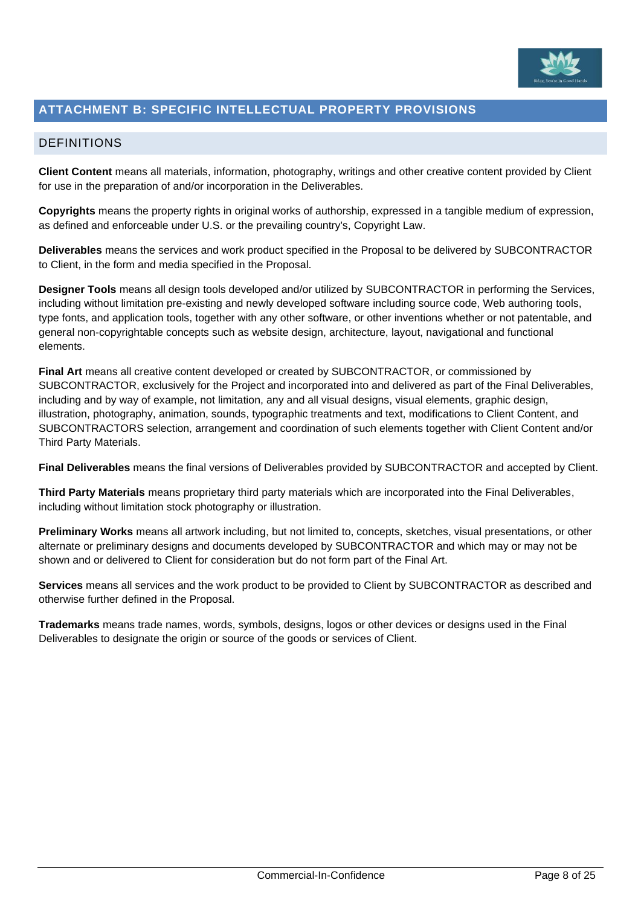

### <span id="page-12-0"></span>**ATTACHMENT B: SPECIFIC INTELLECTUAL PROPERTY PROVISIONS**

### <span id="page-12-1"></span>DEFINITIONS

**Client Content** means all materials, information, photography, writings and other creative content provided by Client for use in the preparation of and/or incorporation in the Deliverables.

**Copyrights** means the property rights in original works of authorship, expressed in a tangible medium of expression, as defined and enforceable under U.S. or the prevailing country's, Copyright Law.

**Deliverables** means the services and work product specified in the Proposal to be delivered by SUBCONTRACTOR to Client, in the form and media specified in the Proposal.

**Designer Tools** means all design tools developed and/or utilized by SUBCONTRACTOR in performing the Services, including without limitation pre-existing and newly developed software including source code, Web authoring tools, type fonts, and application tools, together with any other software, or other inventions whether or not patentable, and general non-copyrightable concepts such as website design, architecture, layout, navigational and functional elements.

**Final Art** means all creative content developed or created by SUBCONTRACTOR, or commissioned by SUBCONTRACTOR, exclusively for the Project and incorporated into and delivered as part of the Final Deliverables, including and by way of example, not limitation, any and all visual designs, visual elements, graphic design, illustration, photography, animation, sounds, typographic treatments and text, modifications to Client Content, and SUBCONTRACTORS selection, arrangement and coordination of such elements together with Client Content and/or Third Party Materials.

**Final Deliverables** means the final versions of Deliverables provided by SUBCONTRACTOR and accepted by Client.

**Third Party Materials** means proprietary third party materials which are incorporated into the Final Deliverables, including without limitation stock photography or illustration.

**Preliminary Works** means all artwork including, but not limited to, concepts, sketches, visual presentations, or other alternate or preliminary designs and documents developed by SUBCONTRACTOR and which may or may not be shown and or delivered to Client for consideration but do not form part of the Final Art.

**Services** means all services and the work product to be provided to Client by SUBCONTRACTOR as described and otherwise further defined in the Proposal.

**Trademarks** means trade names, words, symbols, designs, logos or other devices or designs used in the Final Deliverables to designate the origin or source of the goods or services of Client.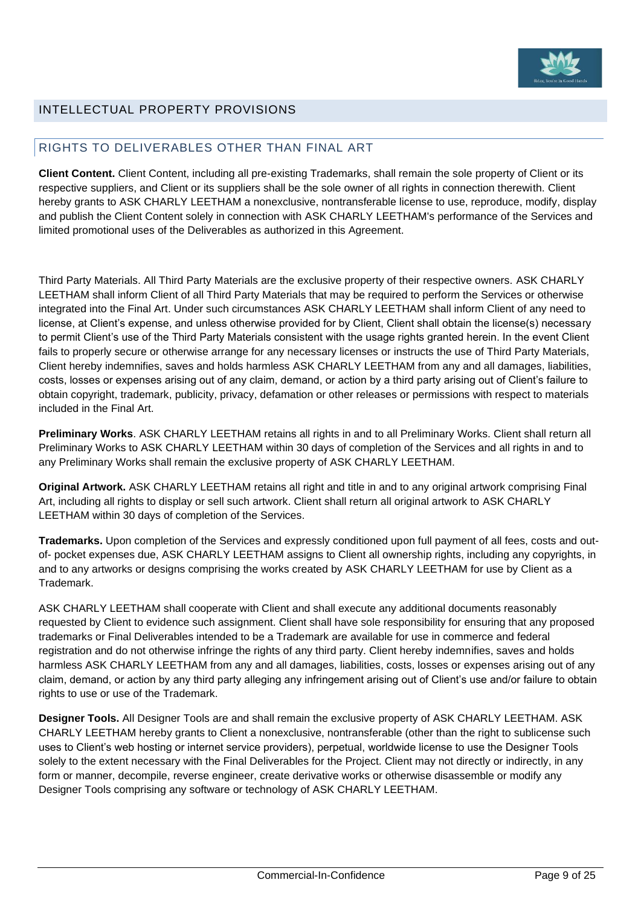

### <span id="page-13-0"></span>INTELLECTUAL PROPERTY PROVISIONS

### <span id="page-13-1"></span>RIGHTS TO DELIVERABLES OTHER THAN FINAL ART

**Client Content.** Client Content, including all pre-existing Trademarks, shall remain the sole property of Client or its respective suppliers, and Client or its suppliers shall be the sole owner of all rights in connection therewith. Client hereby grants to ASK CHARLY LEETHAM a nonexclusive, nontransferable license to use, reproduce, modify, display and publish the Client Content solely in connection with ASK CHARLY LEETHAM's performance of the Services and limited promotional uses of the Deliverables as authorized in this Agreement.

Third Party Materials. All Third Party Materials are the exclusive property of their respective owners. ASK CHARLY LEETHAM shall inform Client of all Third Party Materials that may be required to perform the Services or otherwise integrated into the Final Art. Under such circumstances ASK CHARLY LEETHAM shall inform Client of any need to license, at Client's expense, and unless otherwise provided for by Client, Client shall obtain the license(s) necessary to permit Client's use of the Third Party Materials consistent with the usage rights granted herein. In the event Client fails to properly secure or otherwise arrange for any necessary licenses or instructs the use of Third Party Materials, Client hereby indemnifies, saves and holds harmless ASK CHARLY LEETHAM from any and all damages, liabilities, costs, losses or expenses arising out of any claim, demand, or action by a third party arising out of Client's failure to obtain copyright, trademark, publicity, privacy, defamation or other releases or permissions with respect to materials included in the Final Art.

**Preliminary Works**. ASK CHARLY LEETHAM retains all rights in and to all Preliminary Works. Client shall return all Preliminary Works to ASK CHARLY LEETHAM within 30 days of completion of the Services and all rights in and to any Preliminary Works shall remain the exclusive property of ASK CHARLY LEETHAM.

**Original Artwork.** ASK CHARLY LEETHAM retains all right and title in and to any original artwork comprising Final Art, including all rights to display or sell such artwork. Client shall return all original artwork to ASK CHARLY LEETHAM within 30 days of completion of the Services.

**Trademarks.** Upon completion of the Services and expressly conditioned upon full payment of all fees, costs and outof- pocket expenses due, ASK CHARLY LEETHAM assigns to Client all ownership rights, including any copyrights, in and to any artworks or designs comprising the works created by ASK CHARLY LEETHAM for use by Client as a Trademark.

ASK CHARLY LEETHAM shall cooperate with Client and shall execute any additional documents reasonably requested by Client to evidence such assignment. Client shall have sole responsibility for ensuring that any proposed trademarks or Final Deliverables intended to be a Trademark are available for use in commerce and federal registration and do not otherwise infringe the rights of any third party. Client hereby indemnifies, saves and holds harmless ASK CHARLY LEETHAM from any and all damages, liabilities, costs, losses or expenses arising out of any claim, demand, or action by any third party alleging any infringement arising out of Client's use and/or failure to obtain rights to use or use of the Trademark.

**Designer Tools.** All Designer Tools are and shall remain the exclusive property of ASK CHARLY LEETHAM. ASK CHARLY LEETHAM hereby grants to Client a nonexclusive, nontransferable (other than the right to sublicense such uses to Client's web hosting or internet service providers), perpetual, worldwide license to use the Designer Tools solely to the extent necessary with the Final Deliverables for the Project. Client may not directly or indirectly, in any form or manner, decompile, reverse engineer, create derivative works or otherwise disassemble or modify any Designer Tools comprising any software or technology of ASK CHARLY LEETHAM.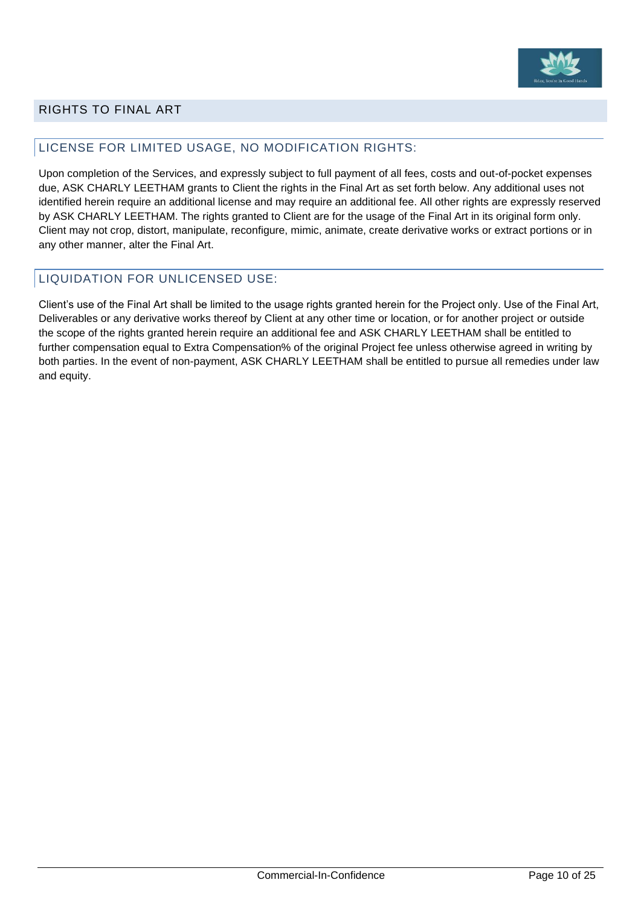

### <span id="page-14-0"></span>RIGHTS TO FINAL ART

### <span id="page-14-1"></span>LICENSE FOR LIMITED USAGE, NO MODIFICATION RIGHTS:

Upon completion of the Services, and expressly subject to full payment of all fees, costs and out-of-pocket expenses due, ASK CHARLY LEETHAM grants to Client the rights in the Final Art as set forth below. Any additional uses not identified herein require an additional license and may require an additional fee. All other rights are expressly reserved by ASK CHARLY LEETHAM. The rights granted to Client are for the usage of the Final Art in its original form only. Client may not crop, distort, manipulate, reconfigure, mimic, animate, create derivative works or extract portions or in any other manner, alter the Final Art.

### <span id="page-14-2"></span>LIQUIDATION FOR UNLICENSED USE:

Client's use of the Final Art shall be limited to the usage rights granted herein for the Project only. Use of the Final Art, Deliverables or any derivative works thereof by Client at any other time or location, or for another project or outside the scope of the rights granted herein require an additional fee and ASK CHARLY LEETHAM shall be entitled to further compensation equal to Extra Compensation% of the original Project fee unless otherwise agreed in writing by both parties. In the event of non-payment, ASK CHARLY LEETHAM shall be entitled to pursue all remedies under law and equity.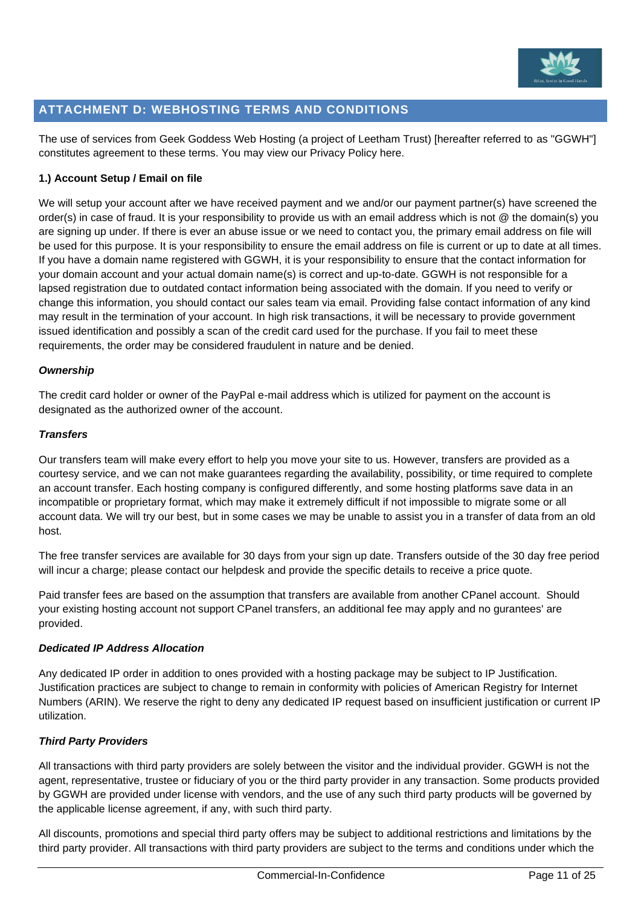

### <span id="page-15-0"></span>**ATTACHMENT D: WEBHOSTING TERMS AND CONDITIONS**

The use of services from Geek Goddess Web Hosting (a project of Leetham Trust) [hereafter referred to as "GGWH"] constitutes agreement to these terms. You may view our Privacy Policy here.

### **1.) Account Setup / Email on file**

We will setup your account after we have received payment and we and/or our payment partner(s) have screened the order(s) in case of fraud. It is your responsibility to provide us with an email address which is not @ the domain(s) you are signing up under. If there is ever an abuse issue or we need to contact you, the primary email address on file will be used for this purpose. It is your responsibility to ensure the email address on file is current or up to date at all times. If you have a domain name registered with GGWH, it is your responsibility to ensure that the contact information for your domain account and your actual domain name(s) is correct and up-to-date. GGWH is not responsible for a lapsed registration due to outdated contact information being associated with the domain. If you need to verify or change this information, you should contact our sales team via email. Providing false contact information of any kind may result in the termination of your account. In high risk transactions, it will be necessary to provide government issued identification and possibly a scan of the credit card used for the purchase. If you fail to meet these requirements, the order may be considered fraudulent in nature and be denied.

### *Ownership*

The credit card holder or owner of the PayPal e-mail address which is utilized for payment on the account is designated as the authorized owner of the account.

### *Transfers*

Our transfers team will make every effort to help you move your site to us. However, transfers are provided as a courtesy service, and we can not make guarantees regarding the availability, possibility, or time required to complete an account transfer. Each hosting company is configured differently, and some hosting platforms save data in an incompatible or proprietary format, which may make it extremely difficult if not impossible to migrate some or all account data. We will try our best, but in some cases we may be unable to assist you in a transfer of data from an old host.

The free transfer services are available for 30 days from your sign up date. Transfers outside of the 30 day free period will incur a charge; please contact our helpdesk and provide the specific details to receive a price quote.

Paid transfer fees are based on the assumption that transfers are available from another CPanel account. Should your existing hosting account not support CPanel transfers, an additional fee may apply and no gurantees' are provided.

### *Dedicated IP Address Allocation*

Any dedicated IP order in addition to ones provided with a hosting package may be subject to IP Justification. Justification practices are subject to change to remain in conformity with policies of American Registry for Internet Numbers (ARIN). We reserve the right to deny any dedicated IP request based on insufficient justification or current IP utilization.

### *Third Party Providers*

All transactions with third party providers are solely between the visitor and the individual provider. GGWH is not the agent, representative, trustee or fiduciary of you or the third party provider in any transaction. Some products provided by GGWH are provided under license with vendors, and the use of any such third party products will be governed by the applicable license agreement, if any, with such third party.

All discounts, promotions and special third party offers may be subject to additional restrictions and limitations by the third party provider. All transactions with third party providers are subject to the terms and conditions under which the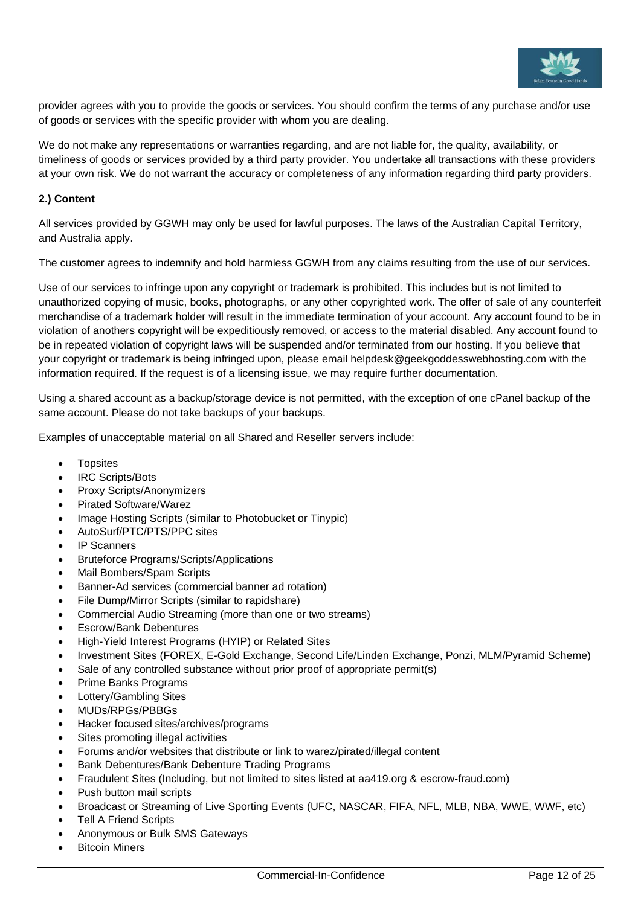

provider agrees with you to provide the goods or services. You should confirm the terms of any purchase and/or use of goods or services with the specific provider with whom you are dealing.

We do not make any representations or warranties regarding, and are not liable for, the quality, availability, or timeliness of goods or services provided by a third party provider. You undertake all transactions with these providers at your own risk. We do not warrant the accuracy or completeness of any information regarding third party providers.

### **2.) Content**

All services provided by GGWH may only be used for lawful purposes. The laws of the Australian Capital Territory, and Australia apply.

The customer agrees to indemnify and hold harmless GGWH from any claims resulting from the use of our services.

Use of our services to infringe upon any copyright or trademark is prohibited. This includes but is not limited to unauthorized copying of music, books, photographs, or any other copyrighted work. The offer of sale of any counterfeit merchandise of a trademark holder will result in the immediate termination of your account. Any account found to be in violation of anothers copyright will be expeditiously removed, or access to the material disabled. Any account found to be in repeated violation of copyright laws will be suspended and/or terminated from our hosting. If you believe that your copyright or trademark is being infringed upon, please email helpdesk@geekgoddesswebhosting.com with the information required. If the request is of a licensing issue, we may require further documentation.

Using a shared account as a backup/storage device is not permitted, with the exception of one cPanel backup of the same account. Please do not take backups of your backups.

Examples of unacceptable material on all Shared and Reseller servers include:

- Topsites
- IRC Scripts/Bots
- Proxy Scripts/Anonymizers
- Pirated Software/Warez
- Image Hosting Scripts (similar to Photobucket or Tinypic)
- AutoSurf/PTC/PTS/PPC sites
- IP Scanners
- Bruteforce Programs/Scripts/Applications
- Mail Bombers/Spam Scripts
- Banner-Ad services (commercial banner ad rotation)
- File Dump/Mirror Scripts (similar to rapidshare)
- Commercial Audio Streaming (more than one or two streams)
- Escrow/Bank Debentures
- High-Yield Interest Programs (HYIP) or Related Sites
- Investment Sites (FOREX, E-Gold Exchange, Second Life/Linden Exchange, Ponzi, MLM/Pyramid Scheme)
- Sale of any controlled substance without prior proof of appropriate permit(s)
- Prime Banks Programs
- Lottery/Gambling Sites
- MUDs/RPGs/PBBGs
- Hacker focused sites/archives/programs
- Sites promoting illegal activities
- Forums and/or websites that distribute or link to warez/pirated/illegal content
- Bank Debentures/Bank Debenture Trading Programs
- Fraudulent Sites (Including, but not limited to sites listed at aa419.org & escrow-fraud.com)
- Push button mail scripts
- Broadcast or Streaming of Live Sporting Events (UFC, NASCAR, FIFA, NFL, MLB, NBA, WWE, WWF, etc)
- **Tell A Friend Scripts**
- Anonymous or Bulk SMS Gateways
- **Bitcoin Miners**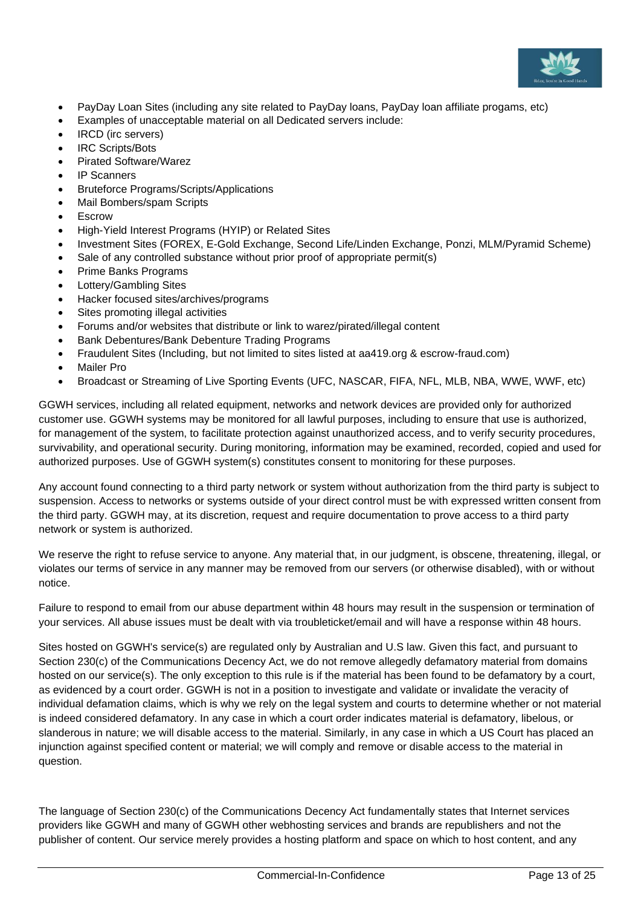

- PayDay Loan Sites (including any site related to PayDay loans, PayDay loan affiliate progams, etc)
- Examples of unacceptable material on all Dedicated servers include:
- **IRCD** (irc servers)
- IRC Scripts/Bots
- Pirated Software/Warez
- IP Scanners
- Bruteforce Programs/Scripts/Applications
- Mail Bombers/spam Scripts
- **Escrow**
- High-Yield Interest Programs (HYIP) or Related Sites
- Investment Sites (FOREX, E-Gold Exchange, Second Life/Linden Exchange, Ponzi, MLM/Pyramid Scheme)
- Sale of any controlled substance without prior proof of appropriate permit(s)
- Prime Banks Programs
- Lottery/Gambling Sites
- Hacker focused sites/archives/programs
- Sites promoting illegal activities
- Forums and/or websites that distribute or link to warez/pirated/illegal content
- Bank Debentures/Bank Debenture Trading Programs
- Fraudulent Sites (Including, but not limited to sites listed at aa419.org & escrow-fraud.com)
- Mailer Pro
- Broadcast or Streaming of Live Sporting Events (UFC, NASCAR, FIFA, NFL, MLB, NBA, WWE, WWF, etc)

GGWH services, including all related equipment, networks and network devices are provided only for authorized customer use. GGWH systems may be monitored for all lawful purposes, including to ensure that use is authorized, for management of the system, to facilitate protection against unauthorized access, and to verify security procedures, survivability, and operational security. During monitoring, information may be examined, recorded, copied and used for authorized purposes. Use of GGWH system(s) constitutes consent to monitoring for these purposes.

Any account found connecting to a third party network or system without authorization from the third party is subject to suspension. Access to networks or systems outside of your direct control must be with expressed written consent from the third party. GGWH may, at its discretion, request and require documentation to prove access to a third party network or system is authorized.

We reserve the right to refuse service to anyone. Any material that, in our judgment, is obscene, threatening, illegal, or violates our terms of service in any manner may be removed from our servers (or otherwise disabled), with or without notice.

Failure to respond to email from our abuse department within 48 hours may result in the suspension or termination of your services. All abuse issues must be dealt with via troubleticket/email and will have a response within 48 hours.

Sites hosted on GGWH's service(s) are regulated only by Australian and U.S law. Given this fact, and pursuant to Section 230(c) of the Communications Decency Act, we do not remove allegedly defamatory material from domains hosted on our service(s). The only exception to this rule is if the material has been found to be defamatory by a court, as evidenced by a court order. GGWH is not in a position to investigate and validate or invalidate the veracity of individual defamation claims, which is why we rely on the legal system and courts to determine whether or not material is indeed considered defamatory. In any case in which a court order indicates material is defamatory, libelous, or slanderous in nature; we will disable access to the material. Similarly, in any case in which a US Court has placed an injunction against specified content or material; we will comply and remove or disable access to the material in question.

The language of Section 230(c) of the Communications Decency Act fundamentally states that Internet services providers like GGWH and many of GGWH other webhosting services and brands are republishers and not the publisher of content. Our service merely provides a hosting platform and space on which to host content, and any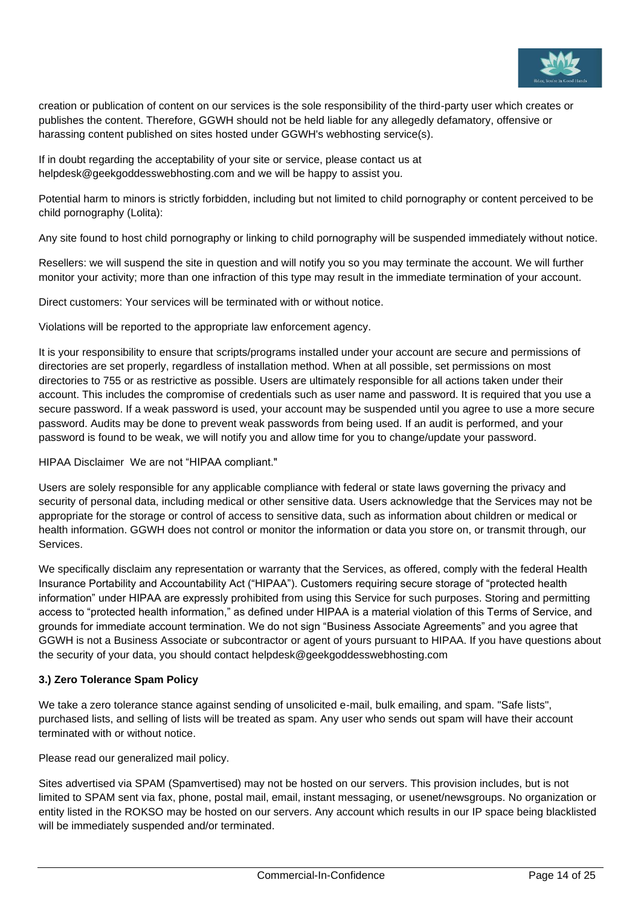

creation or publication of content on our services is the sole responsibility of the third-party user which creates or publishes the content. Therefore, GGWH should not be held liable for any allegedly defamatory, offensive or harassing content published on sites hosted under GGWH's webhosting service(s).

If in doubt regarding the acceptability of your site or service, please contact us at helpdesk@geekgoddesswebhosting.com and we will be happy to assist you.

Potential harm to minors is strictly forbidden, including but not limited to child pornography or content perceived to be child pornography (Lolita):

Any site found to host child pornography or linking to child pornography will be suspended immediately without notice.

Resellers: we will suspend the site in question and will notify you so you may terminate the account. We will further monitor your activity; more than one infraction of this type may result in the immediate termination of your account.

Direct customers: Your services will be terminated with or without notice.

Violations will be reported to the appropriate law enforcement agency.

It is your responsibility to ensure that scripts/programs installed under your account are secure and permissions of directories are set properly, regardless of installation method. When at all possible, set permissions on most directories to 755 or as restrictive as possible. Users are ultimately responsible for all actions taken under their account. This includes the compromise of credentials such as user name and password. It is required that you use a secure password. If a weak password is used, your account may be suspended until you agree to use a more secure password. Audits may be done to prevent weak passwords from being used. If an audit is performed, and your password is found to be weak, we will notify you and allow time for you to change/update your password.

HIPAA Disclaimer We are not "HIPAA compliant."

Users are solely responsible for any applicable compliance with federal or state laws governing the privacy and security of personal data, including medical or other sensitive data. Users acknowledge that the Services may not be appropriate for the storage or control of access to sensitive data, such as information about children or medical or health information. GGWH does not control or monitor the information or data you store on, or transmit through, our Services.

We specifically disclaim any representation or warranty that the Services, as offered, comply with the federal Health Insurance Portability and Accountability Act ("HIPAA"). Customers requiring secure storage of "protected health information" under HIPAA are expressly prohibited from using this Service for such purposes. Storing and permitting access to "protected health information," as defined under HIPAA is a material violation of this Terms of Service, and grounds for immediate account termination. We do not sign "Business Associate Agreements" and you agree that GGWH is not a Business Associate or subcontractor or agent of yours pursuant to HIPAA. If you have questions about the security of your data, you should contact helpdesk@geekgoddesswebhosting.com

### **3.) Zero Tolerance Spam Policy**

We take a zero tolerance stance against sending of unsolicited e-mail, bulk emailing, and spam. "Safe lists", purchased lists, and selling of lists will be treated as spam. Any user who sends out spam will have their account terminated with or without notice.

Please read our generalized mail policy.

Sites advertised via SPAM (Spamvertised) may not be hosted on our servers. This provision includes, but is not limited to SPAM sent via fax, phone, postal mail, email, instant messaging, or usenet/newsgroups. No organization or entity listed in the ROKSO may be hosted on our servers. Any account which results in our IP space being blacklisted will be immediately suspended and/or terminated.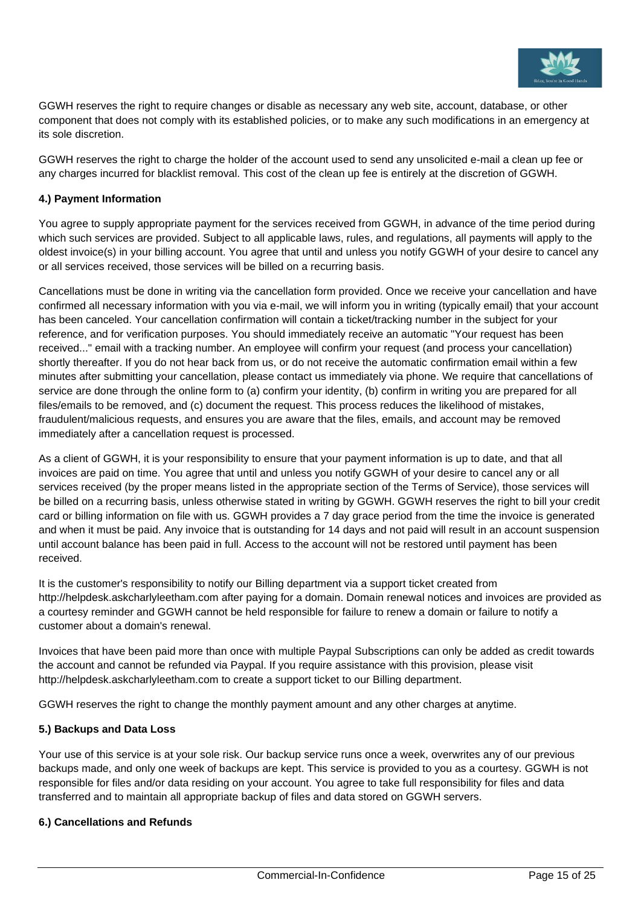

GGWH reserves the right to require changes or disable as necessary any web site, account, database, or other component that does not comply with its established policies, or to make any such modifications in an emergency at its sole discretion.

GGWH reserves the right to charge the holder of the account used to send any unsolicited e-mail a clean up fee or any charges incurred for blacklist removal. This cost of the clean up fee is entirely at the discretion of GGWH.

### **4.) Payment Information**

You agree to supply appropriate payment for the services received from GGWH, in advance of the time period during which such services are provided. Subject to all applicable laws, rules, and regulations, all payments will apply to the oldest invoice(s) in your billing account. You agree that until and unless you notify GGWH of your desire to cancel any or all services received, those services will be billed on a recurring basis.

Cancellations must be done in writing via the cancellation form provided. Once we receive your cancellation and have confirmed all necessary information with you via e-mail, we will inform you in writing (typically email) that your account has been canceled. Your cancellation confirmation will contain a ticket/tracking number in the subject for your reference, and for verification purposes. You should immediately receive an automatic "Your request has been received..." email with a tracking number. An employee will confirm your request (and process your cancellation) shortly thereafter. If you do not hear back from us, or do not receive the automatic confirmation email within a few minutes after submitting your cancellation, please contact us immediately via phone. We require that cancellations of service are done through the online form to (a) confirm your identity, (b) confirm in writing you are prepared for all files/emails to be removed, and (c) document the request. This process reduces the likelihood of mistakes, fraudulent/malicious requests, and ensures you are aware that the files, emails, and account may be removed immediately after a cancellation request is processed.

As a client of GGWH, it is your responsibility to ensure that your payment information is up to date, and that all invoices are paid on time. You agree that until and unless you notify GGWH of your desire to cancel any or all services received (by the proper means listed in the appropriate section of the Terms of Service), those services will be billed on a recurring basis, unless otherwise stated in writing by GGWH. GGWH reserves the right to bill your credit card or billing information on file with us. GGWH provides a 7 day grace period from the time the invoice is generated and when it must be paid. Any invoice that is outstanding for 14 days and not paid will result in an account suspension until account balance has been paid in full. Access to the account will not be restored until payment has been received.

It is the customer's responsibility to notify our Billing department via a support ticket created from http://helpdesk.askcharlyleetham.com after paying for a domain. Domain renewal notices and invoices are provided as a courtesy reminder and GGWH cannot be held responsible for failure to renew a domain or failure to notify a customer about a domain's renewal.

Invoices that have been paid more than once with multiple Paypal Subscriptions can only be added as credit towards the account and cannot be refunded via Paypal. If you require assistance with this provision, please visit http://helpdesk.askcharlyleetham.com to create a support ticket to our Billing department.

GGWH reserves the right to change the monthly payment amount and any other charges at anytime.

### **5.) Backups and Data Loss**

Your use of this service is at your sole risk. Our backup service runs once a week, overwrites any of our previous backups made, and only one week of backups are kept. This service is provided to you as a courtesy. GGWH is not responsible for files and/or data residing on your account. You agree to take full responsibility for files and data transferred and to maintain all appropriate backup of files and data stored on GGWH servers.

### **6.) Cancellations and Refunds**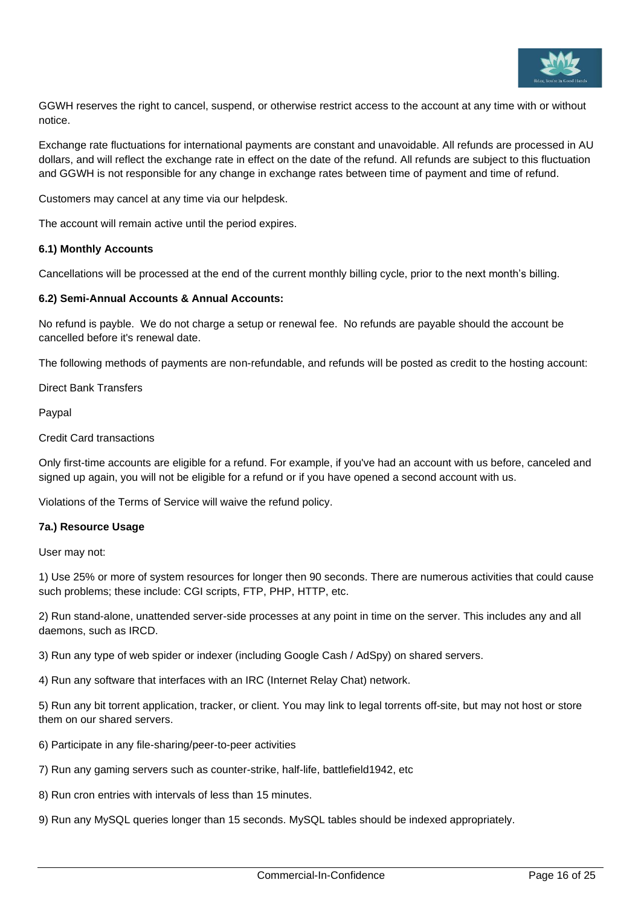

GGWH reserves the right to cancel, suspend, or otherwise restrict access to the account at any time with or without notice.

Exchange rate fluctuations for international payments are constant and unavoidable. All refunds are processed in AU dollars, and will reflect the exchange rate in effect on the date of the refund. All refunds are subject to this fluctuation and GGWH is not responsible for any change in exchange rates between time of payment and time of refund.

Customers may cancel at any time via our helpdesk.

The account will remain active until the period expires.

### **6.1) Monthly Accounts**

Cancellations will be processed at the end of the current monthly billing cycle, prior to the next month's billing.

### **6.2) Semi-Annual Accounts & Annual Accounts:**

No refund is payble. We do not charge a setup or renewal fee. No refunds are payable should the account be cancelled before it's renewal date.

The following methods of payments are non-refundable, and refunds will be posted as credit to the hosting account:

Direct Bank Transfers

Paypal

Credit Card transactions

Only first-time accounts are eligible for a refund. For example, if you've had an account with us before, canceled and signed up again, you will not be eligible for a refund or if you have opened a second account with us.

Violations of the Terms of Service will waive the refund policy.

#### **7a.) Resource Usage**

User may not:

1) Use 25% or more of system resources for longer then 90 seconds. There are numerous activities that could cause such problems; these include: CGI scripts, FTP, PHP, HTTP, etc.

2) Run stand-alone, unattended server-side processes at any point in time on the server. This includes any and all daemons, such as IRCD.

3) Run any type of web spider or indexer (including Google Cash / AdSpy) on shared servers.

4) Run any software that interfaces with an IRC (Internet Relay Chat) network.

5) Run any bit torrent application, tracker, or client. You may link to legal torrents off-site, but may not host or store them on our shared servers.

- 6) Participate in any file-sharing/peer-to-peer activities
- 7) Run any gaming servers such as counter-strike, half-life, battlefield1942, etc

8) Run cron entries with intervals of less than 15 minutes.

9) Run any MySQL queries longer than 15 seconds. MySQL tables should be indexed appropriately.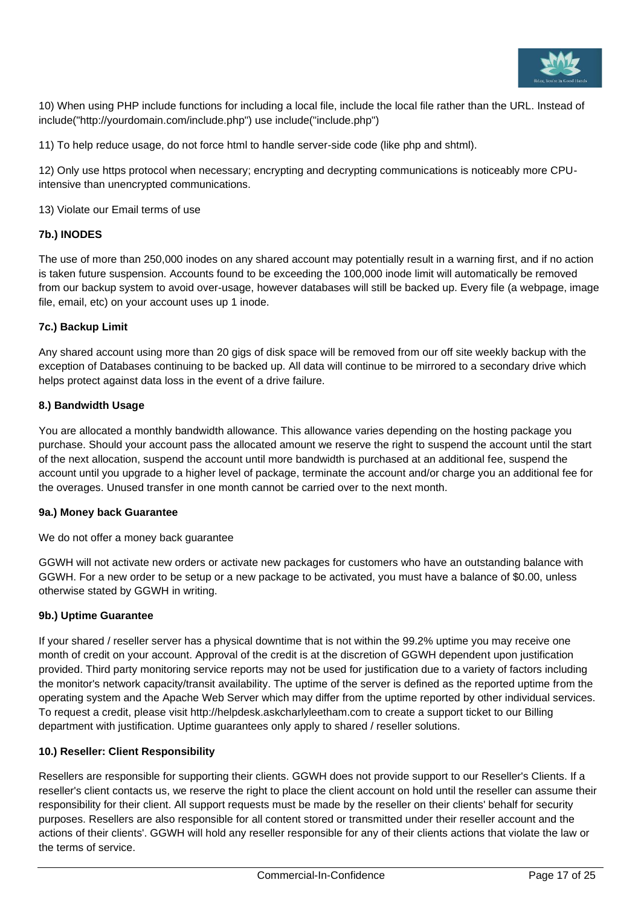

10) When using PHP include functions for including a local file, include the local file rather than the URL. Instead of include("http://yourdomain.com/include.php") use include("include.php")

11) To help reduce usage, do not force html to handle server-side code (like php and shtml).

12) Only use https protocol when necessary; encrypting and decrypting communications is noticeably more CPUintensive than unencrypted communications.

13) Violate our Email terms of use

### **7b.) INODES**

The use of more than 250,000 inodes on any shared account may potentially result in a warning first, and if no action is taken future suspension. Accounts found to be exceeding the 100,000 inode limit will automatically be removed from our backup system to avoid over-usage, however databases will still be backed up. Every file (a webpage, image file, email, etc) on your account uses up 1 inode.

### **7c.) Backup Limit**

Any shared account using more than 20 gigs of disk space will be removed from our off site weekly backup with the exception of Databases continuing to be backed up. All data will continue to be mirrored to a secondary drive which helps protect against data loss in the event of a drive failure.

### **8.) Bandwidth Usage**

You are allocated a monthly bandwidth allowance. This allowance varies depending on the hosting package you purchase. Should your account pass the allocated amount we reserve the right to suspend the account until the start of the next allocation, suspend the account until more bandwidth is purchased at an additional fee, suspend the account until you upgrade to a higher level of package, terminate the account and/or charge you an additional fee for the overages. Unused transfer in one month cannot be carried over to the next month.

### **9a.) Money back Guarantee**

We do not offer a money back guarantee

GGWH will not activate new orders or activate new packages for customers who have an outstanding balance with GGWH. For a new order to be setup or a new package to be activated, you must have a balance of \$0.00, unless otherwise stated by GGWH in writing.

### **9b.) Uptime Guarantee**

If your shared / reseller server has a physical downtime that is not within the 99.2% uptime you may receive one month of credit on your account. Approval of the credit is at the discretion of GGWH dependent upon justification provided. Third party monitoring service reports may not be used for justification due to a variety of factors including the monitor's network capacity/transit availability. The uptime of the server is defined as the reported uptime from the operating system and the Apache Web Server which may differ from the uptime reported by other individual services. To request a credit, please visit http://helpdesk.askcharlyleetham.com to create a support ticket to our Billing department with justification. Uptime guarantees only apply to shared / reseller solutions.

### **10.) Reseller: Client Responsibility**

Resellers are responsible for supporting their clients. GGWH does not provide support to our Reseller's Clients. If a reseller's client contacts us, we reserve the right to place the client account on hold until the reseller can assume their responsibility for their client. All support requests must be made by the reseller on their clients' behalf for security purposes. Resellers are also responsible for all content stored or transmitted under their reseller account and the actions of their clients'. GGWH will hold any reseller responsible for any of their clients actions that violate the law or the terms of service.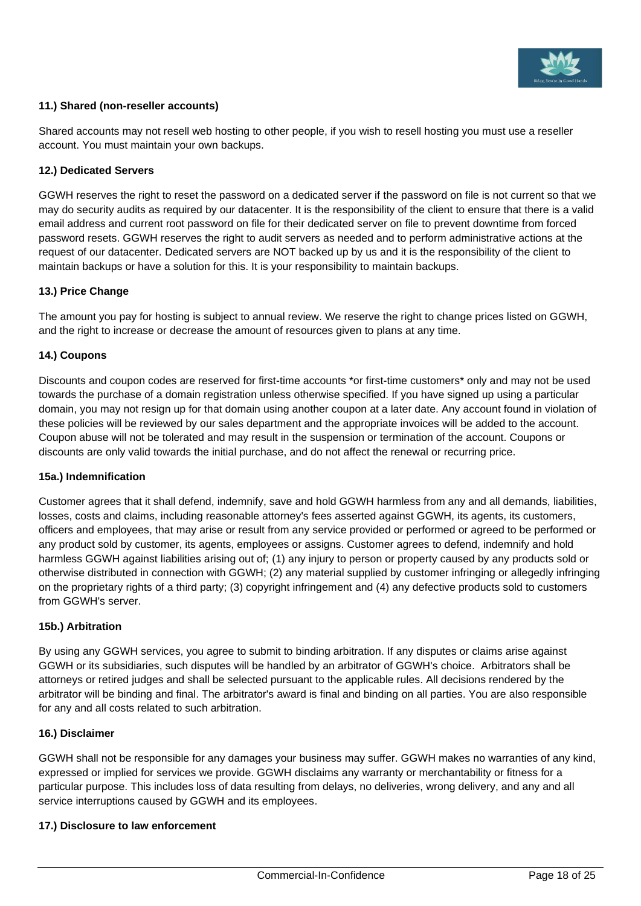

### **11.) Shared (non-reseller accounts)**

Shared accounts may not resell web hosting to other people, if you wish to resell hosting you must use a reseller account. You must maintain your own backups.

### **12.) Dedicated Servers**

GGWH reserves the right to reset the password on a dedicated server if the password on file is not current so that we may do security audits as required by our datacenter. It is the responsibility of the client to ensure that there is a valid email address and current root password on file for their dedicated server on file to prevent downtime from forced password resets. GGWH reserves the right to audit servers as needed and to perform administrative actions at the request of our datacenter. Dedicated servers are NOT backed up by us and it is the responsibility of the client to maintain backups or have a solution for this. It is your responsibility to maintain backups.

### **13.) Price Change**

The amount you pay for hosting is subject to annual review. We reserve the right to change prices listed on GGWH, and the right to increase or decrease the amount of resources given to plans at any time.

### **14.) Coupons**

Discounts and coupon codes are reserved for first-time accounts \*or first-time customers\* only and may not be used towards the purchase of a domain registration unless otherwise specified. If you have signed up using a particular domain, you may not resign up for that domain using another coupon at a later date. Any account found in violation of these policies will be reviewed by our sales department and the appropriate invoices will be added to the account. Coupon abuse will not be tolerated and may result in the suspension or termination of the account. Coupons or discounts are only valid towards the initial purchase, and do not affect the renewal or recurring price.

### **15a.) Indemnification**

Customer agrees that it shall defend, indemnify, save and hold GGWH harmless from any and all demands, liabilities, losses, costs and claims, including reasonable attorney's fees asserted against GGWH, its agents, its customers, officers and employees, that may arise or result from any service provided or performed or agreed to be performed or any product sold by customer, its agents, employees or assigns. Customer agrees to defend, indemnify and hold harmless GGWH against liabilities arising out of; (1) any injury to person or property caused by any products sold or otherwise distributed in connection with GGWH; (2) any material supplied by customer infringing or allegedly infringing on the proprietary rights of a third party; (3) copyright infringement and (4) any defective products sold to customers from GGWH's server.

### **15b.) Arbitration**

By using any GGWH services, you agree to submit to binding arbitration. If any disputes or claims arise against GGWH or its subsidiaries, such disputes will be handled by an arbitrator of GGWH's choice. Arbitrators shall be attorneys or retired judges and shall be selected pursuant to the applicable rules. All decisions rendered by the arbitrator will be binding and final. The arbitrator's award is final and binding on all parties. You are also responsible for any and all costs related to such arbitration.

#### **16.) Disclaimer**

GGWH shall not be responsible for any damages your business may suffer. GGWH makes no warranties of any kind, expressed or implied for services we provide. GGWH disclaims any warranty or merchantability or fitness for a particular purpose. This includes loss of data resulting from delays, no deliveries, wrong delivery, and any and all service interruptions caused by GGWH and its employees.

### **17.) Disclosure to law enforcement**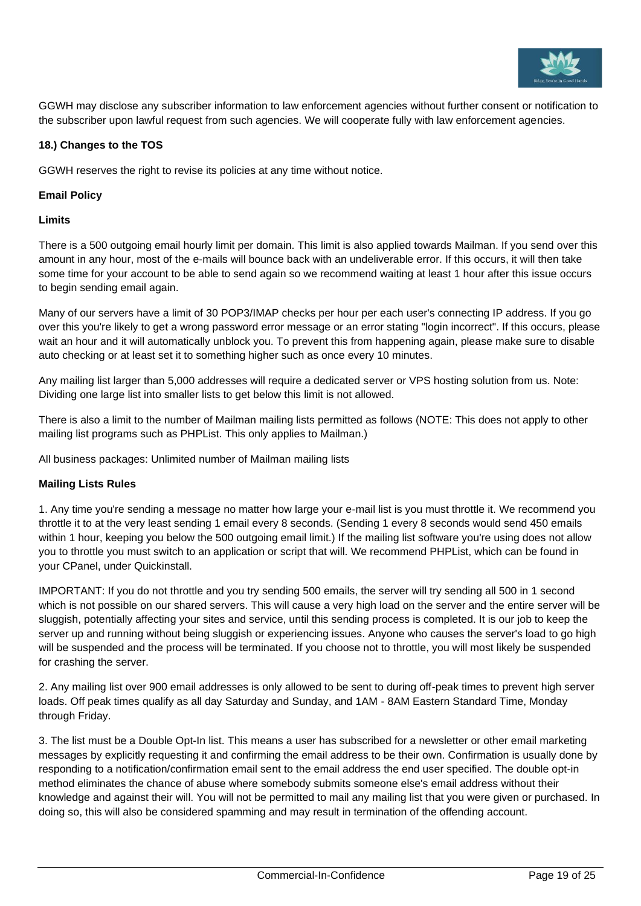

GGWH may disclose any subscriber information to law enforcement agencies without further consent or notification to the subscriber upon lawful request from such agencies. We will cooperate fully with law enforcement agencies.

### **18.) Changes to the TOS**

GGWH reserves the right to revise its policies at any time without notice.

### **Email Policy**

### **Limits**

There is a 500 outgoing email hourly limit per domain. This limit is also applied towards Mailman. If you send over this amount in any hour, most of the e-mails will bounce back with an undeliverable error. If this occurs, it will then take some time for your account to be able to send again so we recommend waiting at least 1 hour after this issue occurs to begin sending email again.

Many of our servers have a limit of 30 POP3/IMAP checks per hour per each user's connecting IP address. If you go over this you're likely to get a wrong password error message or an error stating "login incorrect". If this occurs, please wait an hour and it will automatically unblock you. To prevent this from happening again, please make sure to disable auto checking or at least set it to something higher such as once every 10 minutes.

Any mailing list larger than 5,000 addresses will require a dedicated server or VPS hosting solution from us. Note: Dividing one large list into smaller lists to get below this limit is not allowed.

There is also a limit to the number of Mailman mailing lists permitted as follows (NOTE: This does not apply to other mailing list programs such as PHPList. This only applies to Mailman.)

All business packages: Unlimited number of Mailman mailing lists

### **Mailing Lists Rules**

1. Any time you're sending a message no matter how large your e-mail list is you must throttle it. We recommend you throttle it to at the very least sending 1 email every 8 seconds. (Sending 1 every 8 seconds would send 450 emails within 1 hour, keeping you below the 500 outgoing email limit.) If the mailing list software you're using does not allow you to throttle you must switch to an application or script that will. We recommend PHPList, which can be found in your CPanel, under Quickinstall.

IMPORTANT: If you do not throttle and you try sending 500 emails, the server will try sending all 500 in 1 second which is not possible on our shared servers. This will cause a very high load on the server and the entire server will be sluggish, potentially affecting your sites and service, until this sending process is completed. It is our job to keep the server up and running without being sluggish or experiencing issues. Anyone who causes the server's load to go high will be suspended and the process will be terminated. If you choose not to throttle, you will most likely be suspended for crashing the server.

2. Any mailing list over 900 email addresses is only allowed to be sent to during off-peak times to prevent high server loads. Off peak times qualify as all day Saturday and Sunday, and 1AM - 8AM Eastern Standard Time, Monday through Friday.

3. The list must be a Double Opt-In list. This means a user has subscribed for a newsletter or other email marketing messages by explicitly requesting it and confirming the email address to be their own. Confirmation is usually done by responding to a notification/confirmation email sent to the email address the end user specified. The double opt-in method eliminates the chance of abuse where somebody submits someone else's email address without their knowledge and against their will. You will not be permitted to mail any mailing list that you were given or purchased. In doing so, this will also be considered spamming and may result in termination of the offending account.